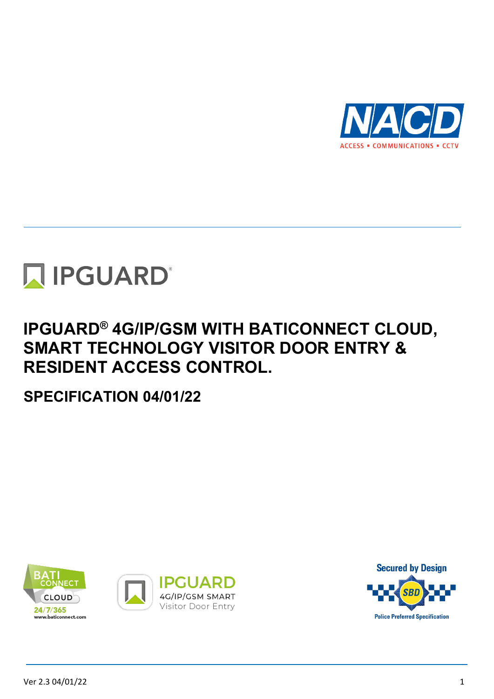



## **IPGUARD® 4G/IP/GSM WITH BATICONNECT CLOUD, SMART TECHNOLOGY VISITOR DOOR ENTRY & RESIDENT ACCESS CONTROL.**

**SPECIFICATION 04/01/22**







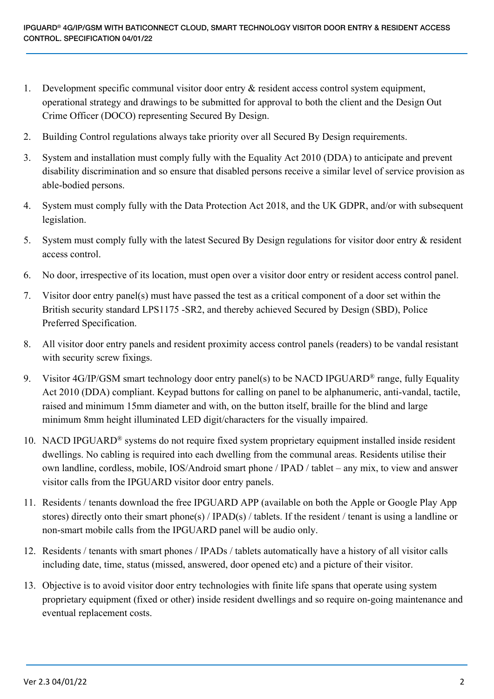- 1. Development specific communal visitor door entry & resident access control system equipment, operational strategy and drawings to be submitted for approval to both the client and the Design Out Crime Officer (DOCO) representing Secured By Design.
- 2. Building Control regulations always take priority over all Secured By Design requirements.
- 3. System and installation must comply fully with the Equality Act 2010 (DDA) to anticipate and prevent disability discrimination and so ensure that disabled persons receive a similar level of service provision as able-bodied persons.
- 4. System must comply fully with the Data Protection Act 2018, and the UK GDPR, and/or with subsequent legislation.
- 5. System must comply fully with the latest Secured By Design regulations for visitor door entry & resident access control.
- 6. No door, irrespective of its location, must open over a visitor door entry or resident access control panel.
- 7. Visitor door entry panel(s) must have passed the test as a critical component of a door set within the British security standard LPS1175 -SR2, and thereby achieved Secured by Design (SBD), Police Preferred Specification.
- 8. All visitor door entry panels and resident proximity access control panels (readers) to be vandal resistant with security screw fixings.
- 9. Visitor 4G/IP/GSM smart technology door entry panel(s) to be NACD IPGUARD<sup>®</sup> range, fully Equality Act 2010 (DDA) compliant. Keypad buttons for calling on panel to be alphanumeric, anti-vandal, tactile, raised and minimum 15mm diameter and with, on the button itself, braille for the blind and large minimum 8mm height illuminated LED digit/characters for the visually impaired.
- 10. NACD IPGUARD® systems do not require fixed system proprietary equipment installed inside resident dwellings. No cabling is required into each dwelling from the communal areas. Residents utilise their own landline, cordless, mobile, IOS/Android smart phone / IPAD / tablet – any mix, to view and answer visitor calls from the IPGUARD visitor door entry panels.
- 11. Residents / tenants download the free IPGUARD APP (available on both the Apple or Google Play App stores) directly onto their smart phone(s) / IPAD(s) / tablets. If the resident / tenant is using a landline or non-smart mobile calls from the IPGUARD panel will be audio only.
- 12. Residents / tenants with smart phones / IPADs / tablets automatically have a history of all visitor calls including date, time, status (missed, answered, door opened etc) and a picture of their visitor.
- 13. Objective is to avoid visitor door entry technologies with finite life spans that operate using system proprietary equipment (fixed or other) inside resident dwellings and so require on-going maintenance and eventual replacement costs.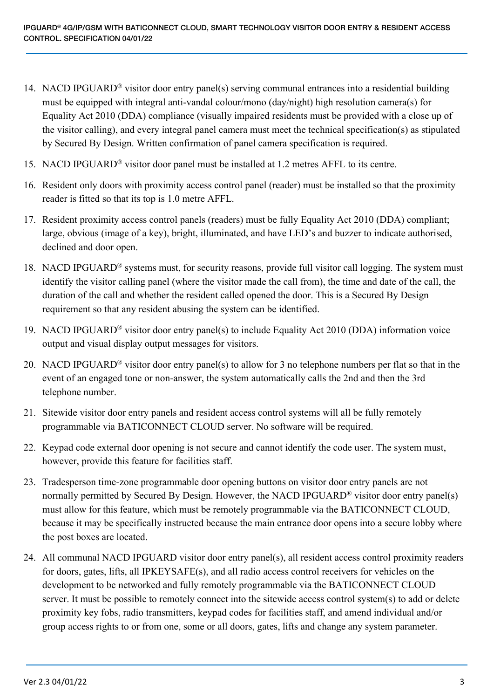- 14. NACD IPGUARD® visitor door entry panel(s) serving communal entrances into a residential building must be equipped with integral anti-vandal colour/mono (day/night) high resolution camera(s) for Equality Act 2010 (DDA) compliance (visually impaired residents must be provided with a close up of the visitor calling), and every integral panel camera must meet the technical specification(s) as stipulated by Secured By Design. Written confirmation of panel camera specification is required.
- 15. NACD IPGUARD® visitor door panel must be installed at 1.2 metres AFFL to its centre.
- 16. Resident only doors with proximity access control panel (reader) must be installed so that the proximity reader is fitted so that its top is 1.0 metre AFFL.
- 17. Resident proximity access control panels (readers) must be fully Equality Act 2010 (DDA) compliant; large, obvious (image of a key), bright, illuminated, and have LED's and buzzer to indicate authorised, declined and door open.
- 18. NACD IPGUARD® systems must, for security reasons, provide full visitor call logging. The system must identify the visitor calling panel (where the visitor made the call from), the time and date of the call, the duration of the call and whether the resident called opened the door. This is a Secured By Design requirement so that any resident abusing the system can be identified.
- 19. NACD IPGUARD® visitor door entry panel(s) to include Equality Act 2010 (DDA) information voice output and visual display output messages for visitors.
- 20. NACD IPGUARD® visitor door entry panel(s) to allow for 3 no telephone numbers per flat so that in the event of an engaged tone or non-answer, the system automatically calls the 2nd and then the 3rd telephone number.
- 21. Sitewide visitor door entry panels and resident access control systems will all be fully remotely programmable via BATICONNECT CLOUD server. No software will be required.
- 22. Keypad code external door opening is not secure and cannot identify the code user. The system must, however, provide this feature for facilities staff.
- 23. Tradesperson time-zone programmable door opening buttons on visitor door entry panels are not normally permitted by Secured By Design. However, the NACD IPGUARD<sup>®</sup> visitor door entry panel(s) must allow for this feature, which must be remotely programmable via the BATICONNECT CLOUD, because it may be specifically instructed because the main entrance door opens into a secure lobby where the post boxes are located.
- 24. All communal NACD IPGUARD visitor door entry panel(s), all resident access control proximity readers for doors, gates, lifts, all IPKEYSAFE(s), and all radio access control receivers for vehicles on the development to be networked and fully remotely programmable via the BATICONNECT CLOUD server. It must be possible to remotely connect into the sitewide access control system(s) to add or delete proximity key fobs, radio transmitters, keypad codes for facilities staff, and amend individual and/or group access rights to or from one, some or all doors, gates, lifts and change any system parameter.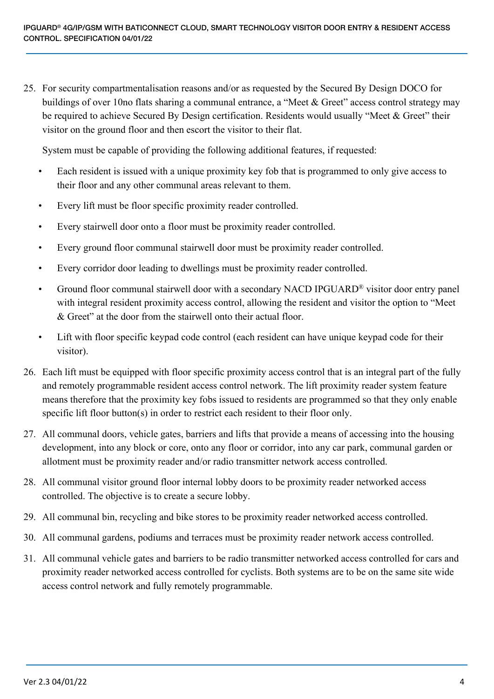25. For security compartmentalisation reasons and/or as requested by the Secured By Design DOCO for buildings of over 10no flats sharing a communal entrance, a "Meet & Greet" access control strategy may be required to achieve Secured By Design certification. Residents would usually "Meet & Greet" their visitor on the ground floor and then escort the visitor to their flat.

System must be capable of providing the following additional features, if requested:

- Each resident is issued with a unique proximity key fob that is programmed to only give access to their floor and any other communal areas relevant to them.
- Every lift must be floor specific proximity reader controlled.
- Every stairwell door onto a floor must be proximity reader controlled.
- Every ground floor communal stairwell door must be proximity reader controlled.
- Every corridor door leading to dwellings must be proximity reader controlled.
- Ground floor communal stairwell door with a secondary NACD IPGUARD® visitor door entry panel with integral resident proximity access control, allowing the resident and visitor the option to "Meet & Greet" at the door from the stairwell onto their actual floor.
- Lift with floor specific keypad code control (each resident can have unique keypad code for their visitor).
- 26. Each lift must be equipped with floor specific proximity access control that is an integral part of the fully and remotely programmable resident access control network. The lift proximity reader system feature means therefore that the proximity key fobs issued to residents are programmed so that they only enable specific lift floor button(s) in order to restrict each resident to their floor only.
- 27. All communal doors, vehicle gates, barriers and lifts that provide a means of accessing into the housing development, into any block or core, onto any floor or corridor, into any car park, communal garden or allotment must be proximity reader and/or radio transmitter network access controlled.
- 28. All communal visitor ground floor internal lobby doors to be proximity reader networked access controlled. The objective is to create a secure lobby.
- 29. All communal bin, recycling and bike stores to be proximity reader networked access controlled.
- 30. All communal gardens, podiums and terraces must be proximity reader network access controlled.
- 31. All communal vehicle gates and barriers to be radio transmitter networked access controlled for cars and proximity reader networked access controlled for cyclists. Both systems are to be on the same site wide access control network and fully remotely programmable.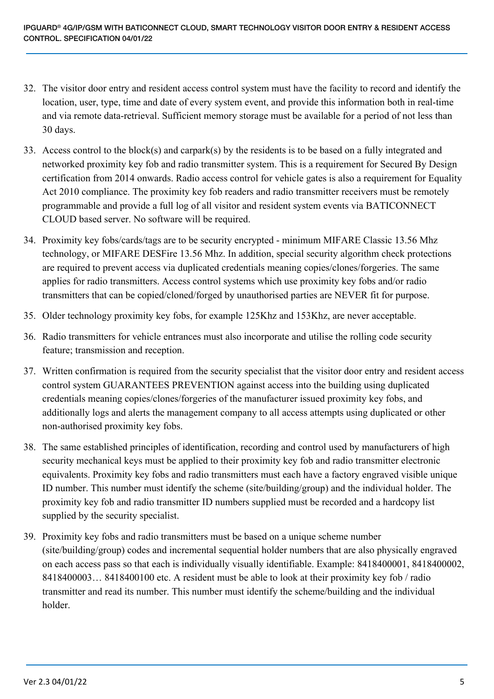- 32. The visitor door entry and resident access control system must have the facility to record and identify the location, user, type, time and date of every system event, and provide this information both in real-time and via remote data-retrieval. Sufficient memory storage must be available for a period of not less than 30 days.
- 33. Access control to the block(s) and carpark(s) by the residents is to be based on a fully integrated and networked proximity key fob and radio transmitter system. This is a requirement for Secured By Design certification from 2014 onwards. Radio access control for vehicle gates is also a requirement for Equality Act 2010 compliance. The proximity key fob readers and radio transmitter receivers must be remotely programmable and provide a full log of all visitor and resident system events via BATICONNECT CLOUD based server. No software will be required.
- 34. Proximity key fobs/cards/tags are to be security encrypted minimum MIFARE Classic 13.56 Mhz technology, or MIFARE DESFire 13.56 Mhz. In addition, special security algorithm check protections are required to prevent access via duplicated credentials meaning copies/clones/forgeries. The same applies for radio transmitters. Access control systems which use proximity key fobs and/or radio transmitters that can be copied/cloned/forged by unauthorised parties are NEVER fit for purpose.
- 35. Older technology proximity key fobs, for example 125Khz and 153Khz, are never acceptable.
- 36. Radio transmitters for vehicle entrances must also incorporate and utilise the rolling code security feature; transmission and reception.
- 37. Written confirmation is required from the security specialist that the visitor door entry and resident access control system GUARANTEES PREVENTION against access into the building using duplicated credentials meaning copies/clones/forgeries of the manufacturer issued proximity key fobs, and additionally logs and alerts the management company to all access attempts using duplicated or other non-authorised proximity key fobs.
- 38. The same established principles of identification, recording and control used by manufacturers of high security mechanical keys must be applied to their proximity key fob and radio transmitter electronic equivalents. Proximity key fobs and radio transmitters must each have a factory engraved visible unique ID number. This number must identify the scheme (site/building/group) and the individual holder. The proximity key fob and radio transmitter ID numbers supplied must be recorded and a hardcopy list supplied by the security specialist.
- 39. Proximity key fobs and radio transmitters must be based on a unique scheme number (site/building/group) codes and incremental sequential holder numbers that are also physically engraved on each access pass so that each is individually visually identifiable. Example: 8418400001, 8418400002, 8418400003… 8418400100 etc. A resident must be able to look at their proximity key fob / radio transmitter and read its number. This number must identify the scheme/building and the individual holder.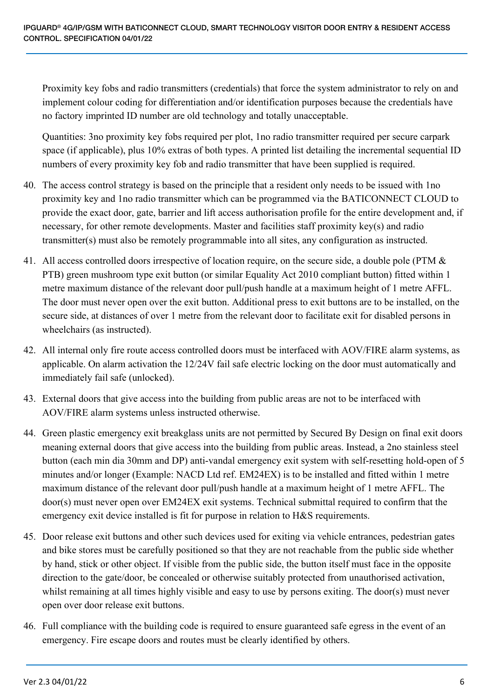Proximity key fobs and radio transmitters (credentials) that force the system administrator to rely on and implement colour coding for differentiation and/or identification purposes because the credentials have no factory imprinted ID number are old technology and totally unacceptable.

Quantities: 3no proximity key fobs required per plot, 1no radio transmitter required per secure carpark space (if applicable), plus 10% extras of both types. A printed list detailing the incremental sequential ID numbers of every proximity key fob and radio transmitter that have been supplied is required.

- 40. The access control strategy is based on the principle that a resident only needs to be issued with 1no proximity key and 1no radio transmitter which can be programmed via the BATICONNECT CLOUD to provide the exact door, gate, barrier and lift access authorisation profile for the entire development and, if necessary, for other remote developments. Master and facilities staff proximity key(s) and radio transmitter(s) must also be remotely programmable into all sites, any configuration as instructed.
- 41. All access controlled doors irrespective of location require, on the secure side, a double pole (PTM & PTB) green mushroom type exit button (or similar Equality Act 2010 compliant button) fitted within 1 metre maximum distance of the relevant door pull/push handle at a maximum height of 1 metre AFFL. The door must never open over the exit button. Additional press to exit buttons are to be installed, on the secure side, at distances of over 1 metre from the relevant door to facilitate exit for disabled persons in wheelchairs (as instructed).
- 42. All internal only fire route access controlled doors must be interfaced with AOV/FIRE alarm systems, as applicable. On alarm activation the 12/24V fail safe electric locking on the door must automatically and immediately fail safe (unlocked).
- 43. External doors that give access into the building from public areas are not to be interfaced with AOV/FIRE alarm systems unless instructed otherwise.
- 44. Green plastic emergency exit breakglass units are not permitted by Secured By Design on final exit doors meaning external doors that give access into the building from public areas. Instead, a 2no stainless steel button (each min dia 30mm and DP) anti-vandal emergency exit system with self-resetting hold-open of 5 minutes and/or longer (Example: NACD Ltd ref. EM24EX) is to be installed and fitted within 1 metre maximum distance of the relevant door pull/push handle at a maximum height of 1 metre AFFL. The door(s) must never open over EM24EX exit systems. Technical submittal required to confirm that the emergency exit device installed is fit for purpose in relation to H&S requirements.
- 45. Door release exit buttons and other such devices used for exiting via vehicle entrances, pedestrian gates and bike stores must be carefully positioned so that they are not reachable from the public side whether by hand, stick or other object. If visible from the public side, the button itself must face in the opposite direction to the gate/door, be concealed or otherwise suitably protected from unauthorised activation, whilst remaining at all times highly visible and easy to use by persons exiting. The door(s) must never open over door release exit buttons.
- 46. Full compliance with the building code is required to ensure guaranteed safe egress in the event of an emergency. Fire escape doors and routes must be clearly identified by others.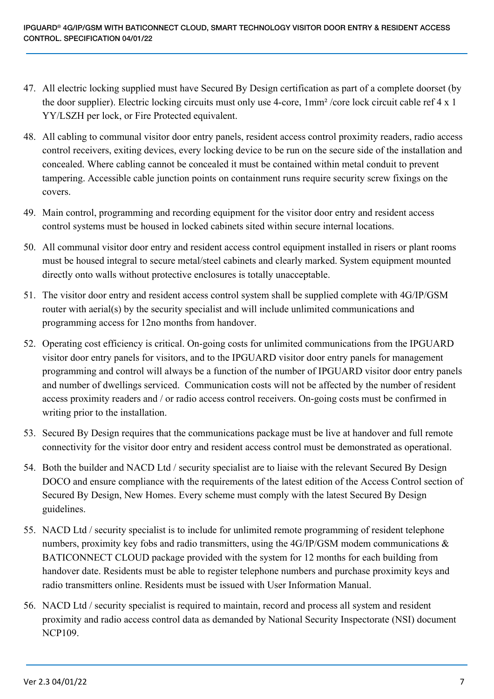- 47. All electric locking supplied must have Secured By Design certification as part of a complete doorset (by the door supplier). Electric locking circuits must only use 4-core, 1mm² /core lock circuit cable ref 4 x 1 YY/LSZH per lock, or Fire Protected equivalent.
- 48. All cabling to communal visitor door entry panels, resident access control proximity readers, radio access control receivers, exiting devices, every locking device to be run on the secure side of the installation and concealed. Where cabling cannot be concealed it must be contained within metal conduit to prevent tampering. Accessible cable junction points on containment runs require security screw fixings on the covers.
- 49. Main control, programming and recording equipment for the visitor door entry and resident access control systems must be housed in locked cabinets sited within secure internal locations.
- 50. All communal visitor door entry and resident access control equipment installed in risers or plant rooms must be housed integral to secure metal/steel cabinets and clearly marked. System equipment mounted directly onto walls without protective enclosures is totally unacceptable.
- 51. The visitor door entry and resident access control system shall be supplied complete with 4G/IP/GSM router with aerial(s) by the security specialist and will include unlimited communications and programming access for 12no months from handover.
- 52. Operating cost efficiency is critical. On-going costs for unlimited communications from the IPGUARD visitor door entry panels for visitors, and to the IPGUARD visitor door entry panels for management programming and control will always be a function of the number of IPGUARD visitor door entry panels and number of dwellings serviced. Communication costs will not be affected by the number of resident access proximity readers and / or radio access control receivers. On-going costs must be confirmed in writing prior to the installation.
- 53. Secured By Design requires that the communications package must be live at handover and full remote connectivity for the visitor door entry and resident access control must be demonstrated as operational.
- 54. Both the builder and NACD Ltd / security specialist are to liaise with the relevant Secured By Design DOCO and ensure compliance with the requirements of the latest edition of the Access Control section of Secured By Design, New Homes. Every scheme must comply with the latest Secured By Design guidelines.
- 55. NACD Ltd / security specialist is to include for unlimited remote programming of resident telephone numbers, proximity key fobs and radio transmitters, using the 4G/IP/GSM modem communications & BATICONNECT CLOUD package provided with the system for 12 months for each building from handover date. Residents must be able to register telephone numbers and purchase proximity keys and radio transmitters online. Residents must be issued with User Information Manual.
- 56. NACD Ltd / security specialist is required to maintain, record and process all system and resident proximity and radio access control data as demanded by National Security Inspectorate (NSI) document NCP109.